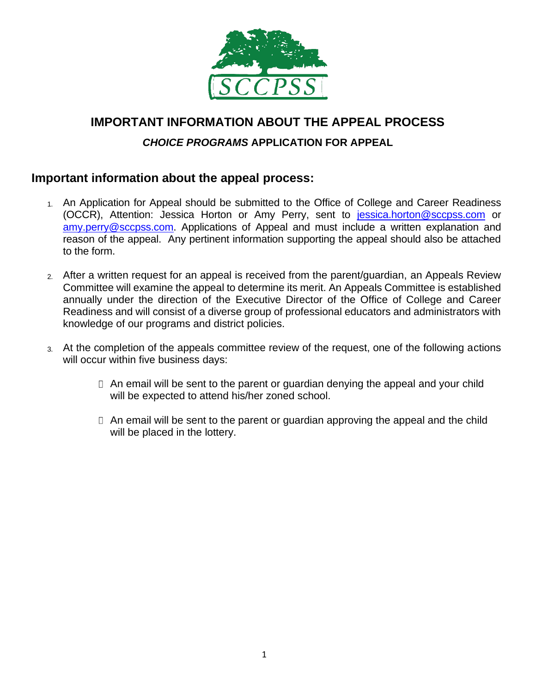

# **IMPORTANT INFORMATION ABOUT THE APPEAL PROCESS**

### *CHOICE PROGRAMS* **APPLICATION FOR APPEAL**

## **Important information about the appeal process:**

- 1. An Application for Appeal should be submitted to the Office of College and Career Readiness (OCCR), Attention: Jessica Horton or Amy Perry, sent to [jessica.horton@sccpss.com](jessica.horton@sccpss.com%20) or [amy.perry@sccpss.com.](mailto:amy.perry@sccpss.com) Applications of Appeal and must include a written explanation and reason of the appeal. Any pertinent information supporting the appeal should also be attached to the form.
- 2. After a written request for an appeal is received from the parent/guardian, an Appeals Review Committee will examine the appeal to determine its merit. An Appeals Committee is established annually under the direction of the Executive Director of the Office of College and Career Readiness and will consist of a diverse group of professional educators and administrators with knowledge of our programs and district policies.
- 3. At the completion of the appeals committee review of the request, one of the following actions will occur within five business days:
	- $\Box$  An email will be sent to the parent or guardian denying the appeal and your child will be expected to attend his/her zoned school.
	- $\Box$  An email will be sent to the parent or guardian approving the appeal and the child will be placed in the lottery.